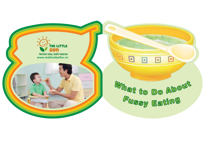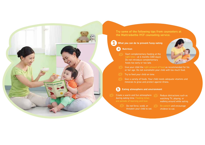THE DONG VAT MAU DO

**Try some of the following tips from counselors at the Mattroibetho IYCF counseling service.** 

**What you can do to prevent fussy eating**

### **a Nutrition**

**1**

 $\cdot \infty$ 

Start complementary feeding at the right time – at 6 months (180 days). Do not introduce complementary foods too early or too late.



- $\Im$  Give your child the right amount of food as recommended for his or her age. Do not overwhelm your child with too much food.
- $\sqrt{\frac{1}{2}}$  Try to feed your child on time.
- $\Im$  Give a variety of foods. Your child needs adequate vitamins and minerals to grow and protect against illness.

## **b Eating atmosphere and environment**

Create a warm and fun atmosphere  $\sqrt{\gamma}$ during eating time. Feeding times

 $\chi$  Do not force, scold, or threaten your child to eat. Reduce distractions such as watching TV, playing, or walking around while eating.

 $\sum_{i=1}^{N}$  Be patient and encourage children to eat.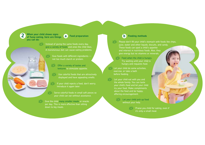**When your child shows signs of fussy eating, here are things you can do: 2**

 $\approx$ 

# **a Food preparation**

Instead of giving the same foods every day, give a variety of foods and ones the child likes. A monotonous diet can cause eating problems.

Give foods with different ingredients - not too much starch or protein.

 $-62$ Offer a variety of tastes and textures to stimulate appetite.

 $\sqrt{\frac{1}{2}}$  Use colorful foods that are attractively displayed and have appealing smells.

 $\frac{1}{2}$  If your child rejects a food, don't worry. Introduce it again later.

 $\Im$  Serve colorful foods in small soft pieces so your child can eat without assistance.

 $\sqrt{\frac{1}{2}}$  Give the child many smaller meals or snacks per day. This is more effective than sitting down to big meals.

## **b Feeding methods**

 $\frac{1}{2}$  Please don't fill your child's stomach with foods like chips, juice, water and other liquids, biscuits, and candy. These foods can spoil a child's appetite and interest in nutritious foods. Also, they give energy but no vitamins or minerals.

 $\Im$  Feed when the child is hungry. Try waiting until your child is hungry and requests food.

 $\frac{1}{2}$  Let your child do some activities. exercise, or take a bath before feeding.

 $\sum_{n=1}^{\infty}$  Let your child eat with you and the whole family. You can taste your child's food and let your child try your food. Make compliments about the food and be happy, offering encouragement.

> $\sum_{i=1}^{N}$  Let your child pick up food without your help.

> > $\frac{1}{2}$  Praise you child for eating, even if it's only a small meal.